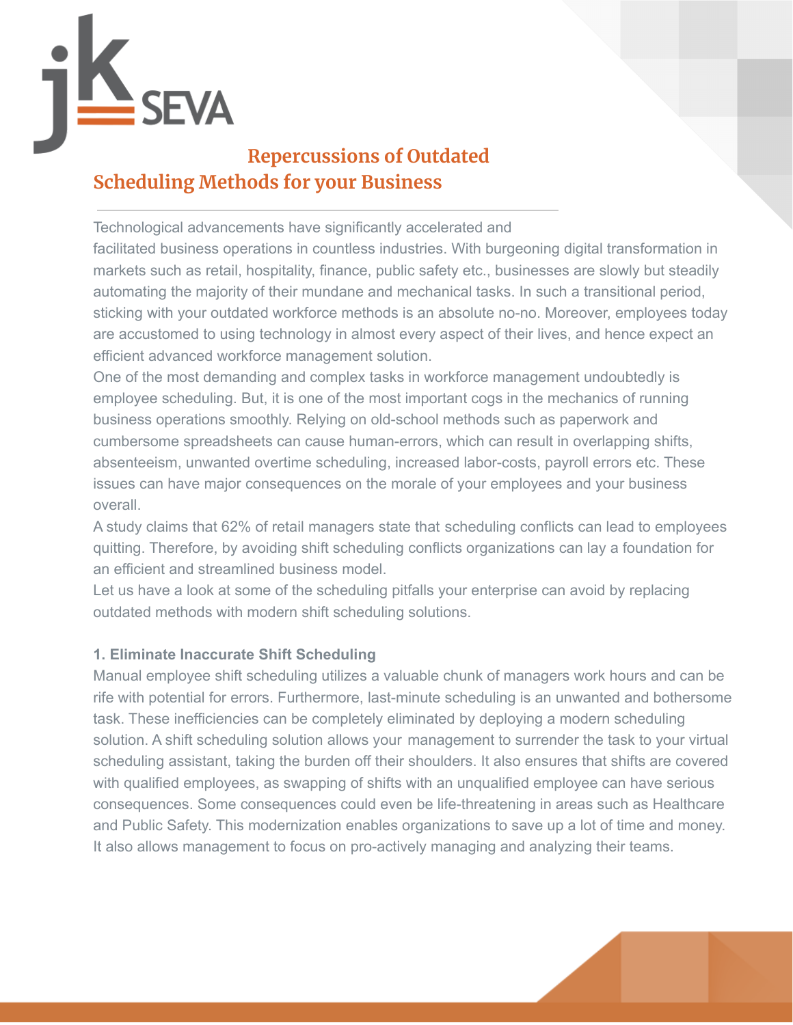

# **Repercussions of Outdated Scheduling Methods for your Business**

Technological advancements have significantly accelerated and

facilitated business operations in countless industries. With burgeoning digital transformation in markets such as retail, hospitality, finance, public safety etc., businesses are slowly but steadily automating the majority of their mundane and mechanical tasks. In such a transitional period, sticking with your outdated workforce methods is an absolute no-no. Moreover, employees today are accustomed to using technology in almost every aspect of their lives, and hence expect an efficient advanced workforce management solution.

One of the most demanding and complex tasks in workforce management undoubtedly is employee scheduling. But, it is one of the most important cogs in the mechanics of running business operations smoothly. Relying on old-school methods such as paperwork and cumbersome spreadsheets can cause human-errors, which can result in overlapping shifts, absenteeism, unwanted overtime scheduling, increased labor-costs, payroll errors etc. These issues can have major consequences on the morale of your employees and your business overall.

A study claims that 62% of retail managers state that scheduling conflicts can lead to employees quitting. Therefore, by avoiding shift scheduling conflicts organizations can lay a foundation for an efficient and streamlined business model.

Let us have a look at some of the scheduling pitfalls your enterprise can avoid by replacing outdated methods with modern shift scheduling solutions.

# **1. Eliminate Inaccurate Shift Scheduling**

Manual employee shift scheduling utilizes a valuable chunk of managers work hours and can be rife with potential for errors. Furthermore, last-minute scheduling is an unwanted and bothersome task. These inefficiencies can be completely eliminated by deploying a modern scheduling solution. A shift scheduling solution allows your management to surrender the task to your virtual scheduling assistant, taking the burden off their shoulders. It also ensures that shifts are covered with qualified employees, as swapping of shifts with an unqualified employee can have serious consequences. Some consequences could even be life-threatening in areas such as Healthcare and Public Safety. This modernization enables organizations to save up a lot of time and money. It also allows management to focus on pro-actively managing and analyzing their teams.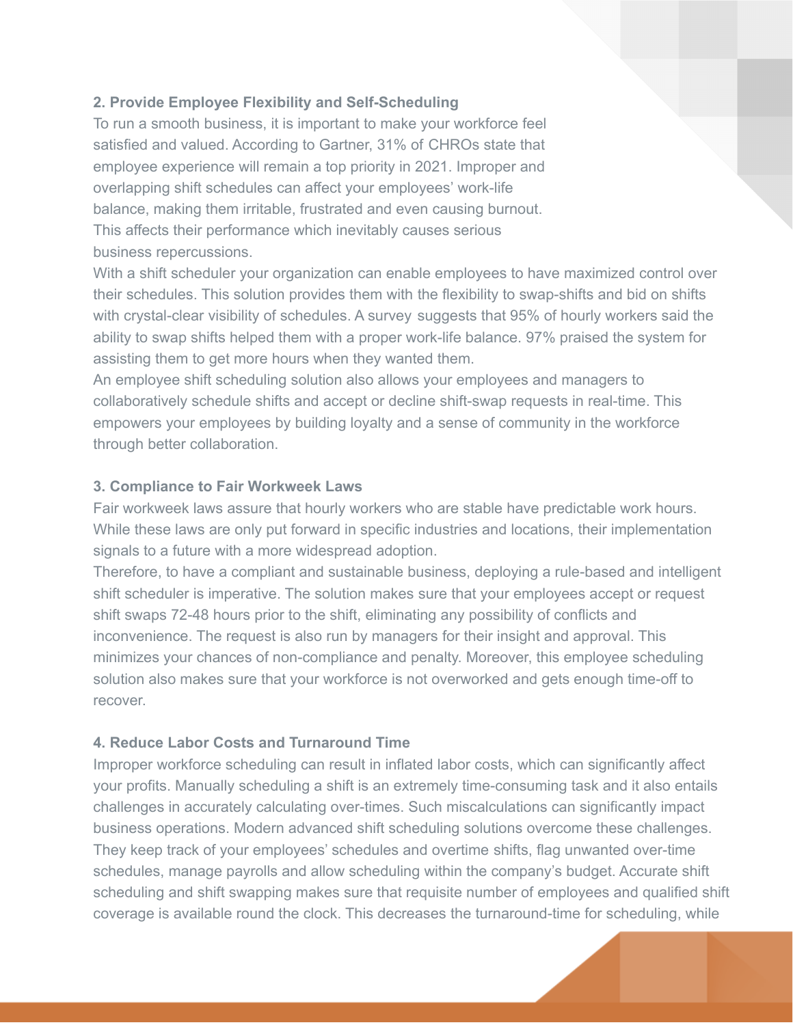## **2. Provide Employee Flexibility and Self-Scheduling**

To run a smooth business, it is important to make your workforce feel satisfied and valued. According to Gartner, 31% of CHROs state that employee experience will remain a top priority in 2021. Improper and overlapping shift schedules can affect your employees' work-life balance, making them irritable, frustrated and even causing burnout. This affects their performance which inevitably causes serious business repercussions.

With a shift scheduler your organization can enable employees to have maximized control over their schedules. This solution provides them with the flexibility to swap-shifts and bid on shifts with crystal-clear visibility of schedules. A survey suggests that 95% of hourly workers said the ability to swap shifts helped them with a proper work-life balance. 97% praised the system for assisting them to get more hours when they wanted them.

An employee shift scheduling solution also allows your employees and managers to collaboratively schedule shifts and accept or decline shift-swap requests in real-time. This empowers your employees by building loyalty and a sense of community in the workforce through better collaboration.

## **3. Compliance to Fair Workweek Laws**

Fair workweek laws assure that hourly workers who are stable have predictable work hours. While these laws are only put forward in specific industries and locations, their implementation signals to a future with a more widespread adoption.

Therefore, to have a compliant and sustainable business, deploying a rule-based and intelligent shift scheduler is imperative. The solution makes sure that your employees accept or request shift swaps 72-48 hours prior to the shift, eliminating any possibility of conflicts and inconvenience. The request is also run by managers for their insight and approval. This minimizes your chances of non-compliance and penalty. Moreover, this employee scheduling solution also makes sure that your workforce is not overworked and gets enough time-off to recover.

## **4. Reduce Labor Costs and Turnaround Time**

Improper workforce scheduling can result in inflated labor costs, which can significantly affect your profits. Manually scheduling a shift is an extremely time-consuming task and it also entails challenges in accurately calculating over-times. Such miscalculations can significantly impact business operations. Modern advanced shift scheduling solutions overcome these challenges. They keep track of your employees' schedules and overtime shifts, flag unwanted over-time schedules, manage payrolls and allow scheduling within the company's budget. Accurate shift scheduling and shift swapping makes sure that requisite number of employees and qualified shift coverage is available round the clock. This decreases the turnaround-time for scheduling, while